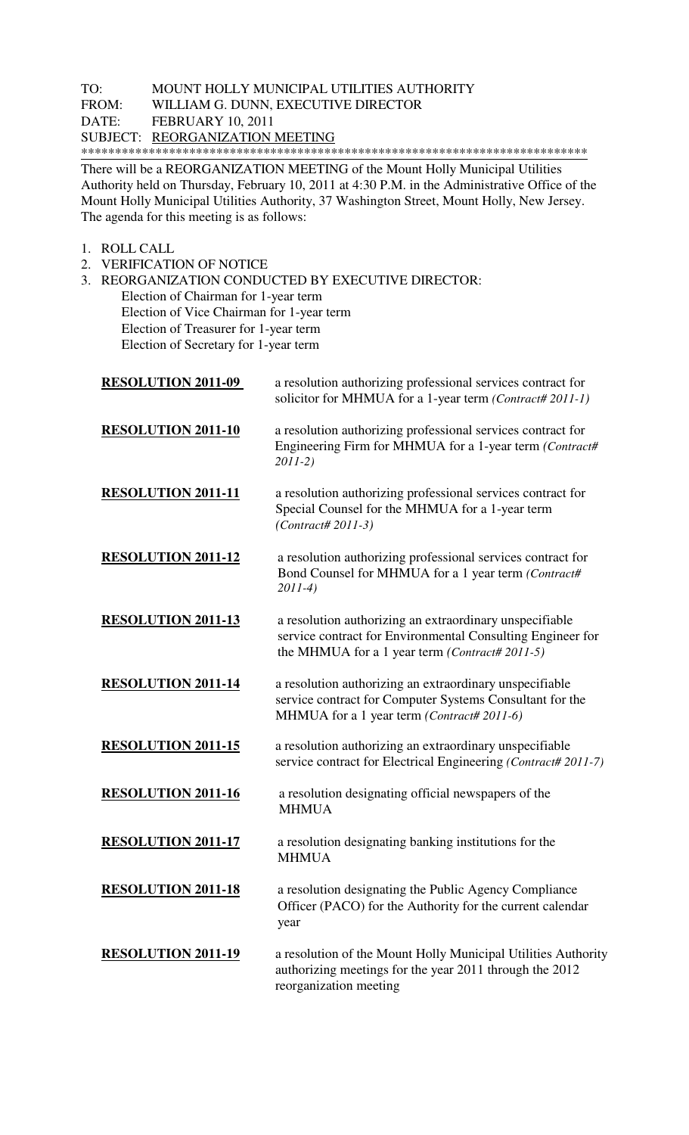## TO: MOUNT HOLLY MUNICIPAL UTILITIES AUTHORITY FROM: WILLIAM G. DUNN, EXECUTIVE DIRECTOR WILLIAM G. DUNN, EXECUTIVE DIRECTOR DATE: FEBRUARY 10, 2011 SUBJECT: REORGANIZATION MEETING \*\*\*\*\*\*\*\*\*\*\*\*\*\*\*\*\*\*\*\*\*\*\*\*\*\*\*\*\*\*\*\*\*\*\*\*\*\*\*\*\*\*\*\*\*\*\*\*\*\*\*\*\*\*\*\*\*\*\*\*\*\*\*\*\*\*\*\*\*\*\*\*\*\*\*

There will be a REORGANIZATION MEETING of the Mount Holly Municipal Utilities Authority held on Thursday, February 10, 2011 at 4:30 P.M. in the Administrative Office of the Mount Holly Municipal Utilities Authority, 37 Washington Street, Mount Holly, New Jersey. The agenda for this meeting is as follows:

- 1. ROLL CALL
- 2. VERIFICATION OF NOTICE

3. REORGANIZATION CONDUCTED BY EXECUTIVE DIRECTOR:

 Election of Chairman for 1-year term Election of Vice Chairman for 1-year term Election of Treasurer for 1-year term Election of Secretary for 1-year term

| <b>RESOLUTION 2011-09</b> | a resolution authorizing professional services contract for<br>solicitor for MHMUA for a 1-year term (Contract# 2011-1)                                                 |
|---------------------------|-------------------------------------------------------------------------------------------------------------------------------------------------------------------------|
| <b>RESOLUTION 2011-10</b> | a resolution authorizing professional services contract for<br>Engineering Firm for MHMUA for a 1-year term (Contract#<br>$2011-2)$                                     |
| <b>RESOLUTION 2011-11</b> | a resolution authorizing professional services contract for<br>Special Counsel for the MHMUA for a 1-year term<br>$(Contract # 2011-3)$                                 |
| <b>RESOLUTION 2011-12</b> | a resolution authorizing professional services contract for<br>Bond Counsel for MHMUA for a 1 year term (Contract#<br>$2011-4)$                                         |
| <b>RESOLUTION 2011-13</b> | a resolution authorizing an extraordinary unspecifiable<br>service contract for Environmental Consulting Engineer for<br>the MHMUA for a 1 year term (Contract# 2011-5) |
| <b>RESOLUTION 2011-14</b> | a resolution authorizing an extraordinary unspecifiable<br>service contract for Computer Systems Consultant for the<br>MHMUA for a 1 year term (Contract# 2011-6)       |
| <b>RESOLUTION 2011-15</b> | a resolution authorizing an extraordinary unspecifiable<br>service contract for Electrical Engineering (Contract# 2011-7)                                               |
| <b>RESOLUTION 2011-16</b> | a resolution designating official newspapers of the<br><b>MHMUA</b>                                                                                                     |
| <b>RESOLUTION 2011-17</b> | a resolution designating banking institutions for the<br><b>MHMUA</b>                                                                                                   |
| <b>RESOLUTION 2011-18</b> | a resolution designating the Public Agency Compliance<br>Officer (PACO) for the Authority for the current calendar<br>year                                              |
| <b>RESOLUTION 2011-19</b> | a resolution of the Mount Holly Municipal Utilities Authority<br>authorizing meetings for the year 2011 through the 2012<br>reorganization meeting                      |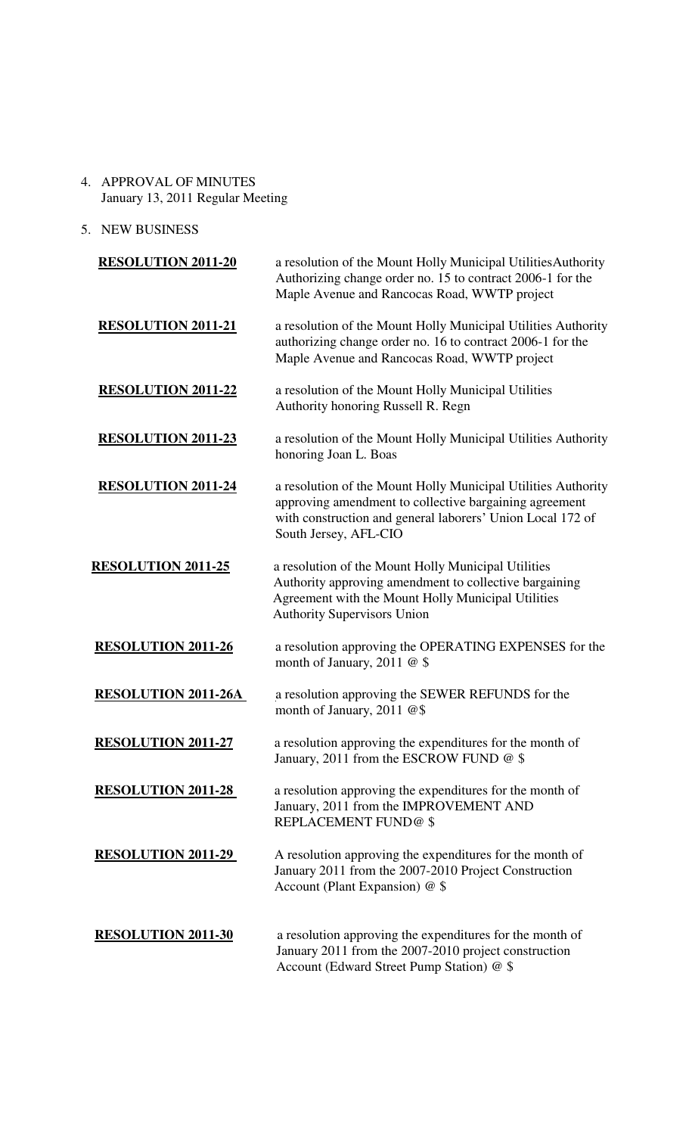- 4. APPROVAL OF MINUTES January 13, 2011 Regular Meeting
- 5. NEW BUSINESS

| <b>RESOLUTION 2011-20</b>  | a resolution of the Mount Holly Municipal Utilities Authority<br>Authorizing change order no. 15 to contract 2006-1 for the<br>Maple Avenue and Rancocas Road, WWTP project                                    |
|----------------------------|----------------------------------------------------------------------------------------------------------------------------------------------------------------------------------------------------------------|
| <b>RESOLUTION 2011-21</b>  | a resolution of the Mount Holly Municipal Utilities Authority<br>authorizing change order no. 16 to contract 2006-1 for the<br>Maple Avenue and Rancocas Road, WWTP project                                    |
| <b>RESOLUTION 2011-22</b>  | a resolution of the Mount Holly Municipal Utilities<br>Authority honoring Russell R. Regn                                                                                                                      |
| <b>RESOLUTION 2011-23</b>  | a resolution of the Mount Holly Municipal Utilities Authority<br>honoring Joan L. Boas                                                                                                                         |
| <b>RESOLUTION 2011-24</b>  | a resolution of the Mount Holly Municipal Utilities Authority<br>approving amendment to collective bargaining agreement<br>with construction and general laborers' Union Local 172 of<br>South Jersey, AFL-CIO |
| <b>RESOLUTION 2011-25</b>  | a resolution of the Mount Holly Municipal Utilities<br>Authority approving amendment to collective bargaining<br>Agreement with the Mount Holly Municipal Utilities<br><b>Authority Supervisors Union</b>      |
| <b>RESOLUTION 2011-26</b>  | a resolution approving the OPERATING EXPENSES for the<br>month of January, 2011 $@$ \$                                                                                                                         |
| <b>RESOLUTION 2011-26A</b> | a resolution approving the SEWER REFUNDS for the<br>month of January, 2011 @\$                                                                                                                                 |
| <b>RESOLUTION 2011-27</b>  | a resolution approving the expenditures for the month of<br>January, 2011 from the ESCROW FUND @ \$                                                                                                            |
| <b>RESOLUTION 2011-28</b>  | a resolution approving the expenditures for the month of<br>January, 2011 from the IMPROVEMENT AND<br><b>REPLACEMENT FUND@\$</b>                                                                               |
| <b>RESOLUTION 2011-29</b>  | A resolution approving the expenditures for the month of<br>January 2011 from the 2007-2010 Project Construction<br>Account (Plant Expansion) @ \$                                                             |
| <b>RESOLUTION 2011-30</b>  | a resolution approving the expenditures for the month of<br>January 2011 from the 2007-2010 project construction<br>Account (Edward Street Pump Station) @ \$                                                  |